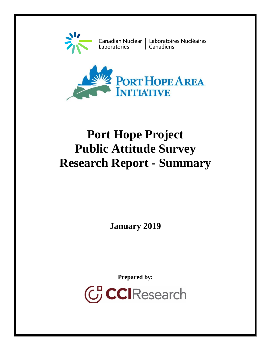

Laboratories

Canadian Nuclear | Laboratoires Nucléaires | Canadiens



# **Port Hope Project Public Attitude Survey Research Report - Summary**

**January 2019**

**Prepared by:**

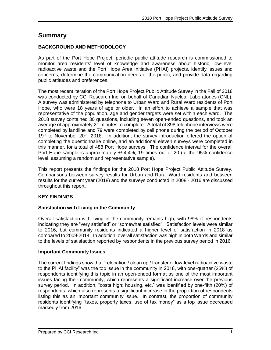# **Summary**

## **BACKGROUND AND METHODOLOGY**

As part of the Port Hope Project, periodic public attitude research is commissioned to monitor area residents' level of knowledge and awareness about historic, low-level radioactive waste and the Port Hope Area Initiative (PHAI) projects, identify issues and concerns, determine the communication needs of the public, and provide data regarding public attitudes and preferences.

The most recent iteration of the Port Hope Project Public Attitude Survey in the Fall of 2018 was conducted by CCI Research Inc. on behalf of Canadian Nuclear Laboratories (CNL). A survey was administered by telephone to Urban Ward and Rural Ward residents of Port Hope, who were 18 years of age or older. In an effort to achieve a sample that was representative of the population, age and gender targets were set within each ward. The 2018 survey contained 30 questions, including seven open-ended questions, and took an average of approximately 21 minutes to complete. A total of 398 telephone interviews were completed by landline and 79 were completed by cell phone during the period of October 19<sup>th</sup> to November 20<sup>th</sup>, 2018. In addition, the survey introduction offered the option of completing the questionnaire online, and an additional eleven surveys were completed in this manner, for a total of 488 Port Hope surveys. The confidence interval for the overall Port Hope sample is approximately +/-4.4%, 19 times out of 20 (at the 95% confidence level, assuming a random and representative sample).

This report presents the findings for the 2018 Port Hope Project Public Attitude Survey. Comparisons between survey results for Urban and Rural Ward residents and between results for the current year (2018) and the surveys conducted in 2008 - 2016 are discussed throughout this report.

# **KEY FINDINGS**

#### **Satisfaction with Living in the Community**

Overall satisfaction with living in the community remains high, with 98% of respondents indicating they are "very satisfied" or "somewhat satisfied". Satisfaction levels were similar to 2016, but community residents indicated a higher level of satisfaction in 2018 as compared to 2009-2014. In addition, overall satisfaction was high in both Wards and similar to the levels of satisfaction reported by respondents in the previous survey period in 2016.

#### **Important Community Issues**

The current findings show that "relocation / clean up / transfer of low-level radioactive waste to the PHAI facility" was the top issue in the community in 2018, with one-quarter (25%) of respondents identifying this topic in an open-ended format as one of the most important issues facing their community, which represents a significant increase over the previous survey period. In addition, "costs high; housing, etc." was identified by one-fifth (20%) of respondents, which also represents a significant increase in the proportion of respondents listing this as an important community issue. In contrast, the proportion of community residents identifying "taxes, property taxes, use of tax money" as a top issue decreased markedly from 2016.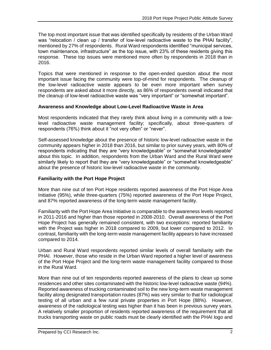The top most important issue that was identified specifically by residents of the Urban Ward was "relocation / clean up / transfer of low-level radioactive waste to the PHAI facility", mentioned by 27% of respondents. Rural Ward respondents identified "municipal services, town maintenance, infrastructure" as the top issue, with 23% of these residents giving this response. These top issues were mentioned more often by respondents in 2018 than in 2016.

Topics that were mentioned in response to the open-ended question about the most important issue facing the community were top-of-mind for respondents. The cleanup of the low-level radioactive waste appears to be even more important when survey respondents are asked about it more directly, as 86% of respondents overall indicated that the cleanup of low-level radioactive waste was "very important" or "somewhat important".

#### **Awareness and Knowledge about Low-Level Radioactive Waste in Area**

Most respondents indicated that they rarely think about living in a community with a lowlevel radioactive waste management facility; specifically, about three-quarters of respondents (76%) think about it "not very often" or "never".

Self-assessed knowledge about the presence of historic low-level radioactive waste in the community appears higher in 2018 than 2016, but similar to prior survey years, with 80% of respondents indicating that they are "very knowledgeable" or "somewhat knowledgeable" about this topic. In addition, respondents from the Urban Ward and the Rural Ward were similarly likely to report that they are "very knowledgeable" or "somewhat knowledgeable" about the presence of historic low-level radioactive waste in the community.

#### **Familiarity with the Port Hope Project**

More than nine out of ten Port Hope residents reported awareness of the Port Hope Area Initiative (95%), while three-quarters (75%) reported awareness of the Port Hope Project, and 87% reported awareness of the long-term waste management facility.

Familiarity with the Port Hope Area Initiative is comparable to the awareness levels reported in 2011-2016 and higher than those reported in 2008-2010. Overall awareness of the Port Hope Project has generally remained consistent, with two exceptions: reported familiarity with the Project was higher in 2018 compared to 2009, but lower compared to 2012. In contrast, familiarity with the long-term waste management facility appears to have increased compared to 2014.

Urban and Rural Ward respondents reported similar levels of overall familiarity with the PHAI. However, those who reside in the Urban Ward reported a higher level of awareness of the Port Hope Project and the long-term waste management facility compared to those in the Rural Ward.

More than nine out of ten respondents reported awareness of the plans to clean up some residences and other sites contaminated with the historic low-level radioactive waste (94%). Reported awareness of trucking contaminated soil to the new long-term waste management facility along designated transportation routes (87%) was very similar to that for radiological testing of all urban and a few rural private properties in Port Hope (88%). However, awareness of the radiological testing was higher than it has been in previous survey years. A relatively smaller proportion of residents reported awareness of the requirement that all trucks transporting waste on public roads must be clearly identified with the PHAI logo and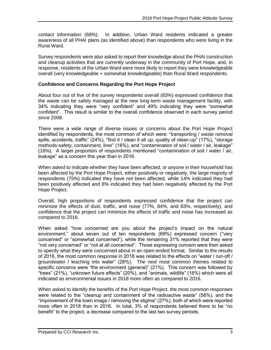contact information (68%). In addition, Urban Ward residents indicated a greater awareness of all PHAI plans (as identified above) than respondents who were living in the Rural Ward.

Survey respondents were also asked to report their knowledge about the PHAI construction and cleanup activities that are currently underway in the community of Port Hope, and, in response, residents of the Urban Ward were more likely to report they were knowledgeable overall (very knowledgeable + somewhat knowledgeable) than Rural Ward respondents.

#### **Confidence and Concerns Regarding the Port Hope Project**

About four out of five of the survey respondents overall (83%) expressed confidence that the waste can be safely managed at the new long-term waste management facility, with 34% indicating they were "very confident" and 49% indicating they were "somewhat confident". This result is similar to the overall confidence observed in each survey period since 2008.

There were a wide range of diverse issues or concerns about the Port Hope Project identified by respondents, the most common of which were: "transporting / waste removal spills, accidents, traffic" (24%), "find it / clean it all up; quality of clean-up" (17%), "storage methods-safety, containment, liner" (16%), and "contamination of soil / water / air, leakage" (16%). A larger proportion of respondents mentioned "contamination of soil / water / air, leakage" as a concern this year than in 2016.

When asked to indicate whether they have been affected, or anyone in their household has been affected by the Port Hope Project, either positively or negatively, the large majority of respondents (75%) indicated they have not been affected, while 14% indicated they had been positively affected and 8% indicated they had been negatively affected by the Port Hope Project.

Overall, high proportions of respondents expressed confidence that the project can minimize the effects of dust, traffic, and noise (77%, 84%, and 83%, respectively), and confidence that the project can minimize the effects of traffic and noise has increased as compared to 2016.

When asked "how concerned are you about the project's impact on the natural environment," about seven out of ten respondents (69%) expressed concern ("very concerned" or "somewhat concerned"), while the remaining 31% reported that they were "not very concerned" or "not at all concerned". Those expressing concern were then asked to specify what they were concerned about in an open-ended format. Similar to the results of 2016, the most common response in 2018 was related to the effects on "water / run-off / groundwater / leaching into water" (28%). The next most common themes related to specific concerns were "the environment (general)" (21%). This concern was followed by "trees" (21%), "unknown future effects" (20%), and "animals, wildlife" (16%) which were all indicated as environmental issues in 2018 more often as compared to 2016.

When asked to identify the benefits of the Port Hope Project, the most common responses were related to the "cleanup and containment of the radioactive waste" (56%), and the "improvement of the town image / removing the stigma" (27%), both of which were reported more often in 2018 than in 2016. In total, 3% of respondents believed there to be "no benefit" to the project, a decrease compared to the last two survey periods.